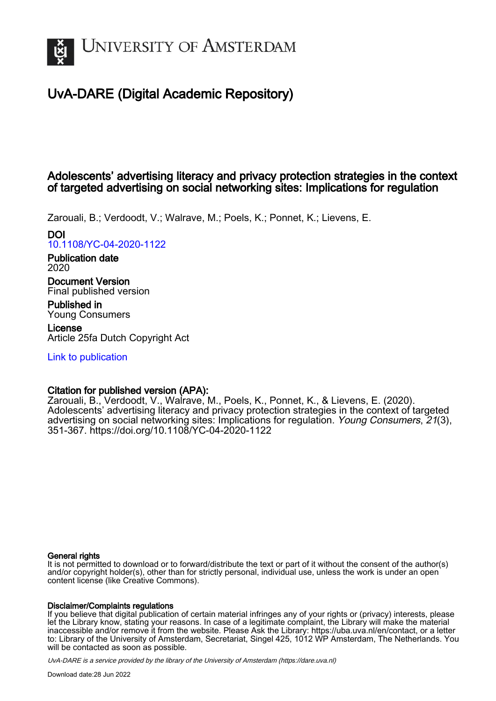

## UvA-DARE (Digital Academic Repository)

## Adolescents' advertising literacy and privacy protection strategies in the context of targeted advertising on social networking sites: Implications for regulation

Zarouali, B.; Verdoodt, V.; Walrave, M.; Poels, K.; Ponnet, K.; Lievens, E.

## DOI

[10.1108/YC-04-2020-1122](https://doi.org/10.1108/YC-04-2020-1122)

Publication date 2020

Document Version Final published version

Published in Young Consumers

License Article 25fa Dutch Copyright Act

[Link to publication](https://dare.uva.nl/personal/pure/en/publications/adolescents-advertising-literacy-and-privacy-protection-strategies-in-the-context-of-targeted-advertising-on-social-networking-sites-implications-for-regulation(aec816c0-f3db-42d4-892c-2790f5e8cbea).html)

### Citation for published version (APA):

Zarouali, B., Verdoodt, V., Walrave, M., Poels, K., Ponnet, K., & Lievens, E. (2020). Adolescents' advertising literacy and privacy protection strategies in the context of targeted advertising on social networking sites: Implications for regulation. Young Consumers, 21(3), 351-367. <https://doi.org/10.1108/YC-04-2020-1122>

#### General rights

It is not permitted to download or to forward/distribute the text or part of it without the consent of the author(s) and/or copyright holder(s), other than for strictly personal, individual use, unless the work is under an open content license (like Creative Commons).

#### Disclaimer/Complaints regulations

If you believe that digital publication of certain material infringes any of your rights or (privacy) interests, please let the Library know, stating your reasons. In case of a legitimate complaint, the Library will make the material inaccessible and/or remove it from the website. Please Ask the Library: https://uba.uva.nl/en/contact, or a letter to: Library of the University of Amsterdam, Secretariat, Singel 425, 1012 WP Amsterdam, The Netherlands. You will be contacted as soon as possible.

UvA-DARE is a service provided by the library of the University of Amsterdam (http*s*://dare.uva.nl)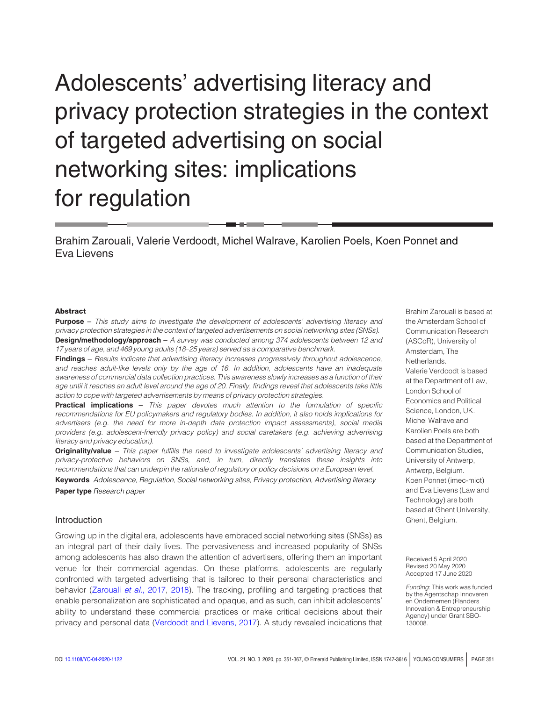# Adolescents' advertising literacy and privacy protection strategies in the context of targeted advertising on social networking sites: implications for regulation

Brahim Zarouali, Valerie Verdoodt, Michel Walrave, Karolien Poels, Koen Ponnet and Eva Lievens

#### Abstract

**Purpose** – This study aims to investigate the development of adolescents' advertising literacy and privacy protection strategies in the context of targeted advertisements on social networking sites (SNSs). **Design/methodology/approach** – A survey was conducted among 374 adolescents between 12 and 17 years of age, and 469 young adults (18–25 years) served as a comparative benchmark.

Findings - Results indicate that advertising literacy increases progressively throughout adolescence, and reaches adult-like levels only by the age of 16. In addition, adolescents have an inadequate awareness of commercial data collection practices. This awareness slowly increases as a function of their age until it reaches an adult level around the age of 20. Finally, findings reveal that adolescents take little action to cope with targeted advertisements by means of privacy protection strategies.

**Practical implications** – This paper devotes much attention to the formulation of specific recommendations for EU policymakers and regulatory bodies. In addition, it also holds implications for advertisers (e.g. the need for more in-depth data protection impact assessments), social media providers (e.g. adolescent-friendly privacy policy) and social caretakers (e.g. achieving advertising literacy and privacy education).

**Originality/value** – This paper fulfills the need to investigate adolescents' advertising literacy and privacy-protective behaviors on SNSs, and, in turn, directly translates these insights into recommendations that can underpin the rationale of regulatory or policy decisions on a European level.

Keywords Adolescence, Regulation, Social networking sites, Privacy protection, Advertising literacy Paper type Research paper

#### Introduction

Growing up in the digital era, adolescents have embraced social networking sites (SNSs) as an integral part of their daily lives. The pervasiveness and increased popularity of SNSs among adolescents has also drawn the attention of advertisers, offering them an important venue for their commercial agendas. On these platforms, adolescents are regularly confronted with targeted advertising that is tailored to their personal characteristics and behavior ([Zarouali](#page-17-0) et al., 2017, [2018\)](#page-17-1). The tracking, profiling and targeting practices that enable personalization are sophisticated and opaque, and as such, can inhibit adolescents' ability to understand these commercial practices or make critical decisions about their privacy and personal data [\(Verdoodt and Lievens, 2017](#page-17-2)). A study revealed indications that Brahim Zarouali is based at the Amsterdam School of Communication Research (ASCoR), University of Amsterdam, The Netherlands. Valerie Verdoodt is based at the Department of Law, London School of Economics and Political Science, London, UK. Michel Walrave and Karolien Poels are both based at the Department of Communication Studies, University of Antwerp, Antwerp, Belgium. Koen Ponnet (imec-mict) and Eva Lievens (Law and Technology) are both based at Ghent University, Ghent, Belgium.

Received 5 April 2020 Revised 20 May 2020 Accepted 17 June 2020

Funding: This work was funded by the Agentschap Innoveren en Ondernemen (Flanders Innovation & Entrepreneurship Agency) under Grant SBO-130008.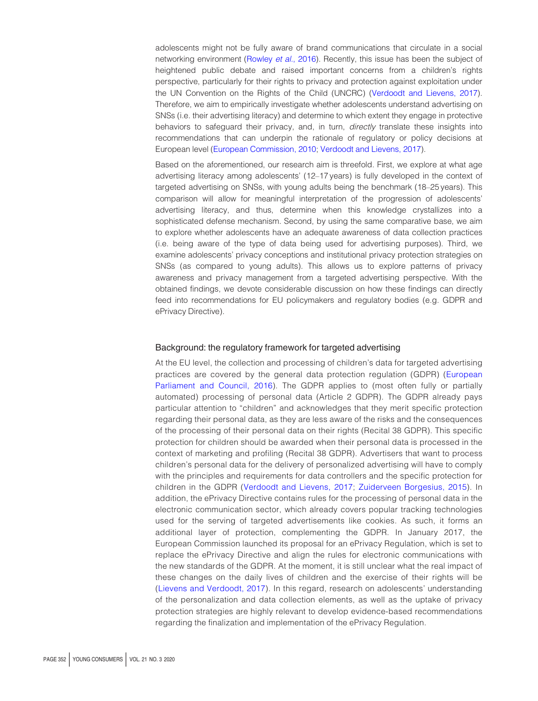adolescents might not be fully aware of brand communications that circulate in a social networking environment [\(Rowley](#page-16-0) et al., 2016). Recently, this issue has been the subject of heightened public debate and raised important concerns from a children's rights perspective, particularly for their rights to privacy and protection against exploitation under the UN Convention on the Rights of the Child (UNCRC) ([Verdoodt and Lievens, 2017](#page-17-2)). Therefore, we aim to empirically investigate whether adolescents understand advertising on SNSs (i.e. their advertising literacy) and determine to which extent they engage in protective behaviors to safeguard their privacy, and, in turn, *directly* translate these insights into recommendations that can underpin the rationale of regulatory or policy decisions at European level [\(European Commission, 2010;](#page-15-0) [Verdoodt and Lievens, 2017\)](#page-17-2).

Based on the aforementioned, our research aim is threefold. First, we explore at what age advertising literacy among adolescents' (12–17 years) is fully developed in the context of targeted advertising on SNSs, with young adults being the benchmark (18–25 years). This comparison will allow for meaningful interpretation of the progression of adolescents' advertising literacy, and thus, determine when this knowledge crystallizes into a sophisticated defense mechanism. Second, by using the same comparative base, we aim to explore whether adolescents have an adequate awareness of data collection practices (i.e. being aware of the type of data being used for advertising purposes). Third, we examine adolescents' privacy conceptions and institutional privacy protection strategies on SNSs (as compared to young adults). This allows us to explore patterns of privacy awareness and privacy management from a targeted advertising perspective. With the obtained findings, we devote considerable discussion on how these findings can directly feed into recommendations for EU policymakers and regulatory bodies (e.g. GDPR and ePrivacy Directive).

#### Background: the regulatory framework for targeted advertising

At the EU level, the collection and processing of children's data for targeted advertising practices are covered by the general data protection regulation (GDPR) ([European](#page-16-1) [Parliament and Council, 2016\)](#page-16-1). The GDPR applies to (most often fully or partially automated) processing of personal data (Article 2 GDPR). The GDPR already pays particular attention to "children" and acknowledges that they merit specific protection regarding their personal data, as they are less aware of the risks and the consequences of the processing of their personal data on their rights (Recital 38 GDPR). This specific protection for children should be awarded when their personal data is processed in the context of marketing and profiling (Recital 38 GDPR). Advertisers that want to process children's personal data for the delivery of personalized advertising will have to comply with the principles and requirements for data controllers and the specific protection for children in the GDPR ([Verdoodt and Lievens, 2017;](#page-17-2) [Zuiderveen Borgesius, 2015\)](#page-17-3). In addition, the ePrivacy Directive contains rules for the processing of personal data in the electronic communication sector, which already covers popular tracking technologies used for the serving of targeted advertisements like cookies. As such, it forms an additional layer of protection, complementing the GDPR. In January 2017, the European Commission launched its proposal for an ePrivacy Regulation, which is set to replace the ePrivacy Directive and align the rules for electronic communications with the new standards of the GDPR. At the moment, it is still unclear what the real impact of these changes on the daily lives of children and the exercise of their rights will be [\(Lievens and Verdoodt, 2017\)](#page-16-2). In this regard, research on adolescents' understanding of the personalization and data collection elements, as well as the uptake of privacy protection strategies are highly relevant to develop evidence-based recommendations regarding the finalization and implementation of the ePrivacy Regulation.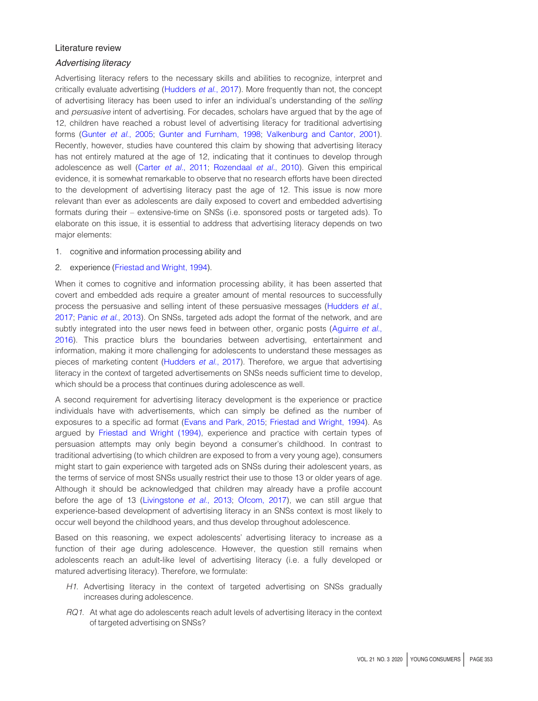#### Literature review

#### Advertising literacy

Advertising literacy refers to the necessary skills and abilities to recognize, interpret and critically evaluate advertising [\(Hudders](#page-16-3) et al., 2017). More frequently than not, the concept of advertising literacy has been used to infer an individual's understanding of the selling and *persuasive* intent of advertising. For decades, scholars have argued that by the age of 12, children have reached a robust level of advertising literacy for traditional advertising forms [\(Gunter](#page-16-4) et al., 2005; [Gunter and Furnham, 1998](#page-16-5); [Valkenburg and Cantor, 2001](#page-17-4)). Recently, however, studies have countered this claim by showing that advertising literacy has not entirely matured at the age of 12, indicating that it continues to develop through adolescence as well (Carter et al.[, 2011;](#page-15-1) [Rozendaal](#page-16-6) et al., 2010). Given this empirical evidence, it is somewhat remarkable to observe that no research efforts have been directed to the development of advertising literacy past the age of 12. This issue is now more relevant than ever as adolescents are daily exposed to covert and embedded advertising formats during their – extensive-time on SNSs (i.e. sponsored posts or targeted ads). To elaborate on this issue, it is essential to address that advertising literacy depends on two major elements:

1. cognitive and information processing ability and

#### 2. experience [\(Friestad and Wright, 1994](#page-16-7)).

When it comes to cognitive and information processing ability, it has been asserted that covert and embedded ads require a greater amount of mental resources to successfully process the persuasive and selling intent of these persuasive messages [\(Hudders](#page-16-3) et al., [2017;](#page-16-3) Panic et al.[, 2013\)](#page-16-8). On SNSs, targeted ads adopt the format of the network, and are subtly integrated into the user news feed in between other, organic posts ([Aguirre](#page-15-2) et al., [2016\)](#page-15-2). This practice blurs the boundaries between advertising, entertainment and information, making it more challenging for adolescents to understand these messages as pieces of marketing content [\(Hudders](#page-16-3) et al., 2017). Therefore, we argue that advertising literacy in the context of targeted advertisements on SNSs needs sufficient time to develop, which should be a process that continues during adolescence as well.

A second requirement for advertising literacy development is the experience or practice individuals have with advertisements, which can simply be defined as the number of exposures to a specific ad format ([Evans and Park, 2015](#page-16-9); [Friestad and Wright, 1994\)](#page-16-7). As argued by [Friestad and Wright \(1994\)](#page-16-7), experience and practice with certain types of persuasion attempts may only begin beyond a consumer's childhood. In contrast to traditional advertising (to which children are exposed to from a very young age), consumers might start to gain experience with targeted ads on SNSs during their adolescent years, as the terms of service of most SNSs usually restrict their use to those 13 or older years of age. Although it should be acknowledged that children may already have a profile account before the age of 13 [\(Livingstone](#page-16-10) et al., 2013; [Ofcom, 2017](#page-16-11)), we can still argue that experience-based development of advertising literacy in an SNSs context is most likely to occur well beyond the childhood years, and thus develop throughout adolescence.

Based on this reasoning, we expect adolescents' advertising literacy to increase as a function of their age during adolescence. However, the question still remains when adolescents reach an adult-like level of advertising literacy (i.e. a fully developed or matured advertising literacy). Therefore, we formulate:

- H1. Advertising literacy in the context of targeted advertising on SNSs gradually increases during adolescence.
- RQ1. At what age do adolescents reach adult levels of advertising literacy in the context of targeted advertising on SNSs?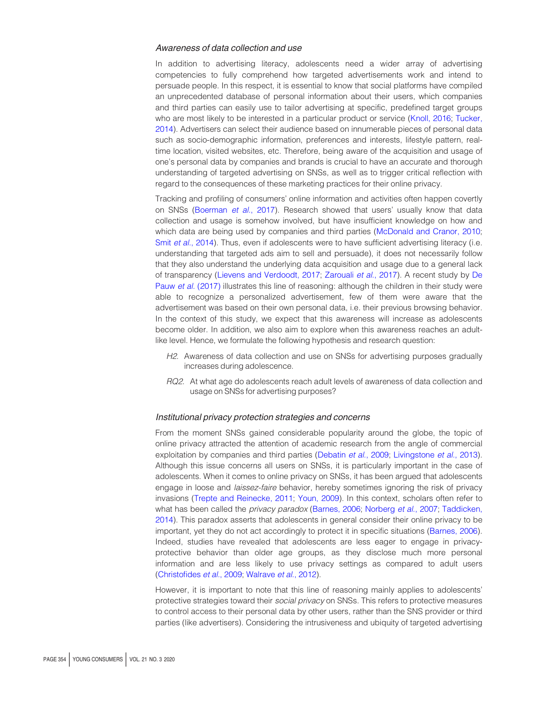#### Awareness of data collection and use

In addition to advertising literacy, adolescents need a wider array of advertising competencies to fully comprehend how targeted advertisements work and intend to persuade people. In this respect, it is essential to know that social platforms have compiled an unprecedented database of personal information about their users, which companies and third parties can easily use to tailor advertising at specific, predefined target groups who are most likely to be interested in a particular product or service [\(Knoll, 2016](#page-16-12); [Tucker,](#page-17-5) [2014\)](#page-17-5). Advertisers can select their audience based on innumerable pieces of personal data such as socio-demographic information, preferences and interests, lifestyle pattern, realtime location, visited websites, etc. Therefore, being aware of the acquisition and usage of one's personal data by companies and brands is crucial to have an accurate and thorough understanding of targeted advertising on SNSs, as well as to trigger critical reflection with regard to the consequences of these marketing practices for their online privacy.

Tracking and profiling of consumers' online information and activities often happen covertly on SNSs ([Boerman](#page-15-3) et al., 2017). Research showed that users' usually know that data collection and usage is somehow involved, but have insufficient knowledge on how and which data are being used by companies and third parties ([McDonald and Cranor, 2010](#page-16-13); Smit et al.[, 2014](#page-16-14)). Thus, even if adolescents were to have sufficient advertising literacy (i.e. understanding that targeted ads aim to sell and persuade), it does not necessarily follow that they also understand the underlying data acquisition and usage due to a general lack of transparency ([Lievens and Verdoodt, 2017](#page-16-2); [Zarouali](#page-17-0) et al., 2017). A recent study by [De](#page-15-4) Pauw et al. [\(2017\)](#page-15-4) illustrates this line of reasoning: although the children in their study were able to recognize a personalized advertisement, few of them were aware that the advertisement was based on their own personal data, i.e. their previous browsing behavior. In the context of this study, we expect that this awareness will increase as adolescents become older. In addition, we also aim to explore when this awareness reaches an adultlike level. Hence, we formulate the following hypothesis and research question:

- H2. Awareness of data collection and use on SNSs for advertising purposes gradually increases during adolescence.
- RQ2. At what age do adolescents reach adult levels of awareness of data collection and usage on SNSs for advertising purposes?

#### Institutional privacy protection strategies and concerns

From the moment SNSs gained considerable popularity around the globe, the topic of online privacy attracted the attention of academic research from the angle of commercial exploitation by companies and third parties ([Debatin](#page-15-5) *et al.*, 2009; [Livingstone](#page-16-10) *et al.*, 2013). Although this issue concerns all users on SNSs, it is particularly important in the case of adolescents. When it comes to online privacy on SNSs, it has been argued that adolescents engage in loose and *laissez-faire* behavior, hereby sometimes ignoring the risk of privacy invasions ([Trepte and Reinecke, 2011](#page-16-15); [Youn, 2009](#page-17-6)). In this context, scholars often refer to what has been called the *privacy paradox* ([Barnes, 2006;](#page-15-6) [Norberg](#page-16-16) et al., 2007; [Taddicken,](#page-16-17) [2014\)](#page-16-17). This paradox asserts that adolescents in general consider their online privacy to be important, yet they do not act accordingly to protect it in specific situations ([Barnes, 2006](#page-15-6)). Indeed, studies have revealed that adolescents are less eager to engage in privacyprotective behavior than older age groups, as they disclose much more personal information and are less likely to use privacy settings as compared to adult users [\(Christofides](#page-15-7) et al., 2009; [Walrave](#page-17-7) et al., 2012).

However, it is important to note that this line of reasoning mainly applies to adolescents' protective strategies toward their social privacy on SNSs. This refers to protective measures to control access to their personal data by other users, rather than the SNS provider or third parties (like advertisers). Considering the intrusiveness and ubiquity of targeted advertising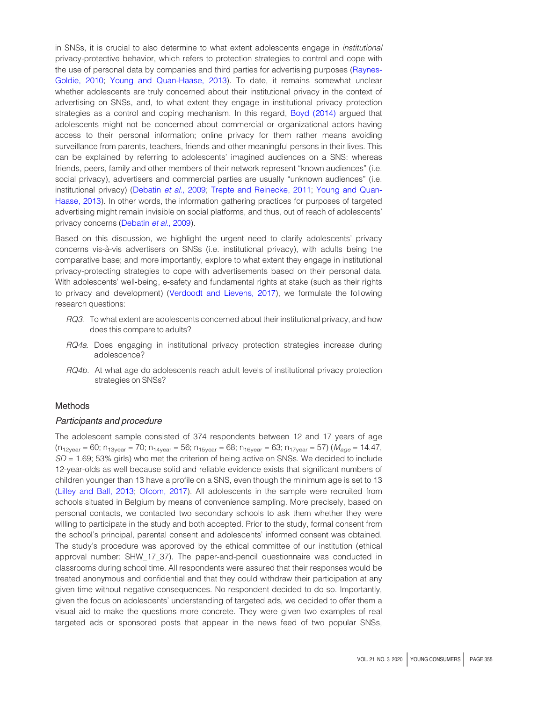in SNSs, it is crucial to also determine to what extent adolescents engage in *institutional* privacy-protective behavior, which refers to protection strategies to control and cope with the use of personal data by companies and third parties for advertising purposes [\(Raynes-](#page-16-18)[Goldie, 2010](#page-16-18); [Young and Quan-Haase, 2013\)](#page-17-8). To date, it remains somewhat unclear whether adolescents are truly concerned about their institutional privacy in the context of advertising on SNSs, and, to what extent they engage in institutional privacy protection strategies as a control and coping mechanism. In this regard, [Boyd \(2014\)](#page-15-8) argued that adolescents might not be concerned about commercial or organizational actors having access to their personal information; online privacy for them rather means avoiding surveillance from parents, teachers, friends and other meaningful persons in their lives. This can be explained by referring to adolescents' imagined audiences on a SNS: whereas friends, peers, family and other members of their network represent "known audiences" (i.e. social privacy), advertisers and commercial parties are usually "unknown audiences" (i.e. institutional privacy) [\(Debatin](#page-15-5) et al., 2009; [Trepte and Reinecke, 2011](#page-16-15); [Young and Quan-](#page-17-8)[Haase, 2013\)](#page-17-8). In other words, the information gathering practices for purposes of targeted advertising might remain invisible on social platforms, and thus, out of reach of adolescents' privacy concerns [\(Debatin](#page-15-5) et al., 2009).

Based on this discussion, we highlight the urgent need to clarify adolescents' privacy concerns vis-a`-vis advertisers on SNSs (i.e. institutional privacy), with adults being the comparative base; and more importantly, explore to what extent they engage in institutional privacy-protecting strategies to cope with advertisements based on their personal data. With adolescents' well-being, e-safety and fundamental rights at stake (such as their rights to privacy and development) ([Verdoodt and Lievens, 2017\)](#page-17-2), we formulate the following research questions:

- RQ3. To what extent are adolescents concerned about their institutional privacy, and how does this compare to adults?
- RQ4a. Does engaging in institutional privacy protection strategies increase during adolescence?
- RQ4b. At what age do adolescents reach adult levels of institutional privacy protection strategies on SNSs?

#### Methods

#### Participants and procedure

The adolescent sample consisted of 374 respondents between 12 and 17 years of age  $(n_{12}$ year = 60;  $n_{13}$ year = 70;  $n_{14}$ year = 56;  $n_{15}$ year = 68;  $n_{16}$ year = 63;  $n_{17}$ year = 57) ( $M_{age}$  = 14.47,  $SD = 1.69$ ; 53% girls) who met the criterion of being active on SNSs. We decided to include 12-year-olds as well because solid and reliable evidence exists that significant numbers of children younger than 13 have a profile on a SNS, even though the minimum age is set to 13 ([Lilley and Ball, 2013;](#page-16-19) [Ofcom, 2017](#page-16-11)). All adolescents in the sample were recruited from schools situated in Belgium by means of convenience sampling. More precisely, based on personal contacts, we contacted two secondary schools to ask them whether they were willing to participate in the study and both accepted. Prior to the study, formal consent from the school's principal, parental consent and adolescents' informed consent was obtained. The study's procedure was approved by the ethical committee of our institution (ethical approval number: SHW\_17\_37). The paper-and-pencil questionnaire was conducted in classrooms during school time. All respondents were assured that their responses would be treated anonymous and confidential and that they could withdraw their participation at any given time without negative consequences. No respondent decided to do so. Importantly, given the focus on adolescents' understanding of targeted ads, we decided to offer them a visual aid to make the questions more concrete. They were given two examples of real targeted ads or sponsored posts that appear in the news feed of two popular SNSs,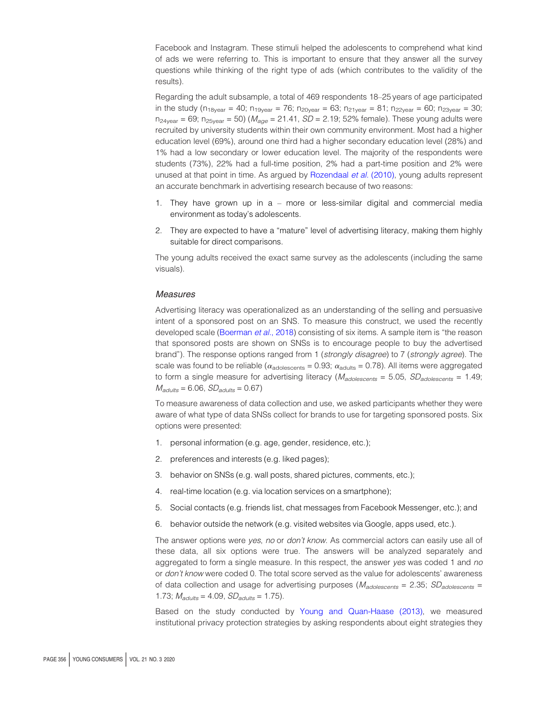Facebook and Instagram. These stimuli helped the adolescents to comprehend what kind of ads we were referring to. This is important to ensure that they answer all the survey questions while thinking of the right type of ads (which contributes to the validity of the results).

Regarding the adult subsample, a total of 469 respondents 18–25 years of age participated in the study ( $n_{18}$ <sub>year</sub> = 40;  $n_{19}$ <sub>year</sub> = 76;  $n_{20}$ <sub>year</sub> = 63;  $n_{21}$ <sub>year</sub> = 81;  $n_{22}$ <sub>year</sub> = 60;  $n_{23}$ <sub>year</sub> = 30;  $n_{24}$ <sub>year</sub> = 69;  $n_{25}$ <sub>year</sub> = 50) ( $M_{age}$  = 21.41, *SD* = 2.19; 52% female). These young adults were recruited by university students within their own community environment. Most had a higher education level (69%), around one third had a higher secondary education level (28%) and 1% had a low secondary or lower education level. The majority of the respondents were students (73%), 22% had a full-time position, 2% had a part-time position and 2% were unused at that point in time. As argued by [Rozendaal](#page-16-6) et al. (2010), young adults represent an accurate benchmark in advertising research because of two reasons:

- 1. They have grown up in a more or less-similar digital and commercial media environment as today's adolescents.
- 2. They are expected to have a "mature" level of advertising literacy, making them highly suitable for direct comparisons.

The young adults received the exact same survey as the adolescents (including the same visuals).

#### **Measures**

Advertising literacy was operationalized as an understanding of the selling and persuasive intent of a sponsored post on an SNS. To measure this construct, we used the recently developed scale [\(Boerman](#page-15-9) et al., 2018) consisting of six items. A sample item is "the reason that sponsored posts are shown on SNSs is to encourage people to buy the advertised brand"). The response options ranged from 1 (strongly disagree) to 7 (strongly agree). The scale was found to be reliable ( $\alpha_{\text{adolescents}} = 0.93$ ;  $\alpha_{\text{adults}} = 0.78$ ). All items were aggregated to form a single measure for advertising literacy ( $M_{adolescents} = 5.05$ ,  $SD_{adolescents} = 1.49$ ;  $M_{adults} = 6.06$ ,  $SD_{adults} = 0.67$ 

To measure awareness of data collection and use, we asked participants whether they were aware of what type of data SNSs collect for brands to use for targeting sponsored posts. Six options were presented:

- 1. personal information (e.g. age, gender, residence, etc.);
- 2. preferences and interests (e.g. liked pages);
- 3. behavior on SNSs (e.g. wall posts, shared pictures, comments, etc.);
- 4. real-time location (e.g. via location services on a smartphone);
- 5. Social contacts (e.g. friends list, chat messages from Facebook Messenger, etc.); and
- 6. behavior outside the network (e.g. visited websites via Google, apps used, etc.).

The answer options were yes, no or don't know. As commercial actors can easily use all of these data, all six options were true. The answers will be analyzed separately and aggregated to form a single measure. In this respect, the answer yes was coded 1 and no or don't know were coded 0. The total score served as the value for adolescents' awareness of data collection and usage for advertising purposes ( $M_{adolescents} = 2.35$ ;  $SD_{adolescents} =$ 1.73;  $M_{adults} = 4.09$ ,  $SD_{adults} = 1.75$ ).

Based on the study conducted by [Young and Quan-Haase \(2013\),](#page-17-8) we measured institutional privacy protection strategies by asking respondents about eight strategies they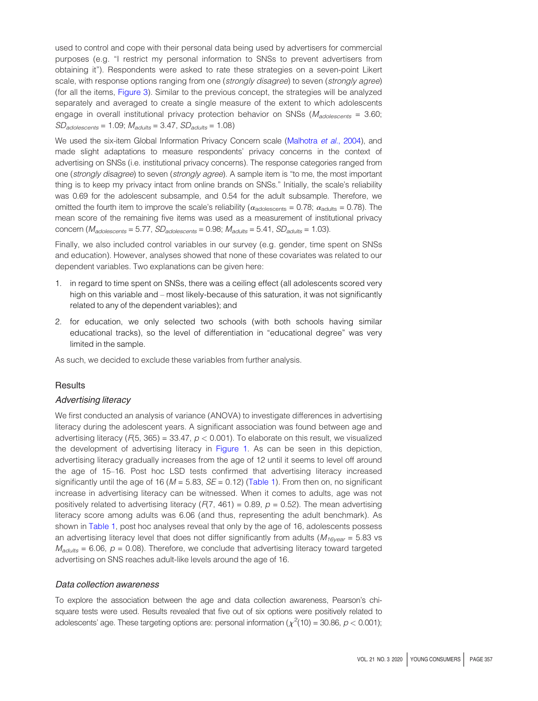used to control and cope with their personal data being used by advertisers for commercial purposes (e.g. "I restrict my personal information to SNSs to prevent advertisers from obtaining it"). Respondents were asked to rate these strategies on a seven-point Likert scale, with response options ranging from one (strongly disagree) to seven (strongly agree) (for all the items, [Figure 3\)](#page-10-0). Similar to the previous concept, the strategies will be analyzed separately and averaged to create a single measure of the extent to which adolescents engage in overall institutional privacy protection behavior on SNSs ( $M_{adolescents} = 3.60$ ;  $SD_{adolescents} = 1.09$ ;  $M_{adults} = 3.47$ ,  $SD_{adults} = 1.08$ )

We used the six-item Global Information Privacy Concern scale [\(Malhotra](#page-16-20) et al., 2004), and made slight adaptations to measure respondents' privacy concerns in the context of advertising on SNSs (i.e. institutional privacy concerns). The response categories ranged from one (strongly disagree) to seven (strongly agree). A sample item is "to me, the most important thing is to keep my privacy intact from online brands on SNSs." Initially, the scale's reliability was 0.69 for the adolescent subsample, and 0.54 for the adult subsample. Therefore, we omitted the fourth item to improve the scale's reliability ( $\alpha_{\text{adolescents}} = 0.78$ ;  $\alpha_{\text{adults}} = 0.78$ ). The mean score of the remaining five items was used as a measurement of institutional privacy concern ( $M_{\text{adolescents}} = 5.77$ ,  $SD_{\text{adolescents}} = 0.98$ ;  $M_{\text{adults}} = 5.41$ ,  $SD_{\text{adults}} = 1.03$ ).

Finally, we also included control variables in our survey (e.g. gender, time spent on SNSs and education). However, analyses showed that none of these covariates was related to our dependent variables. Two explanations can be given here:

- 1. in regard to time spent on SNSs, there was a ceiling effect (all adolescents scored very high on this variable and – most likely-because of this saturation, it was not significantly related to any of the dependent variables); and
- 2. for education, we only selected two schools (with both schools having similar educational tracks), so the level of differentiation in "educational degree" was very limited in the sample.

As such, we decided to exclude these variables from further analysis.

#### **Results**

#### Advertising literacy

We first conducted an analysis of variance (ANOVA) to investigate differences in advertising literacy during the adolescent years. A significant association was found between age and advertising literacy ( $F(5, 365) = 33.47$ ,  $p < 0.001$ ). To elaborate on this result, we visualized the development of advertising literacy in [Figure 1.](#page-8-0) As can be seen in this depiction, advertising literacy gradually increases from the age of 12 until it seems to level off around the age of 15–16. Post hoc LSD tests confirmed that advertising literacy increased significantly until the age of 16 ( $M = 5.83$ ,  $SE = 0.12$ ) [\(Table 1\)](#page-8-1). From then on, no significant increase in advertising literacy can be witnessed. When it comes to adults, age was not positively related to advertising literacy  $(F(7, 461) = 0.89, p = 0.52)$ . The mean advertising literacy score among adults was 6.06 (and thus, representing the adult benchmark). As shown in [Table 1,](#page-8-1) post hoc analyses reveal that only by the age of 16, adolescents possess an advertising literacy level that does not differ significantly from adults ( $M_{16year}$  = 5.83 vs  $M_{adulus} = 6.06$ ,  $p = 0.08$ ). Therefore, we conclude that advertising literacy toward targeted advertising on SNS reaches adult-like levels around the age of 16.

#### Data collection awareness

To explore the association between the age and data collection awareness, Pearson's chisquare tests were used. Results revealed that five out of six options were positively related to adolescents' age. These targeting options are: personal information ( $\chi^2(10)$  = 30.86,  $p$  < 0.001);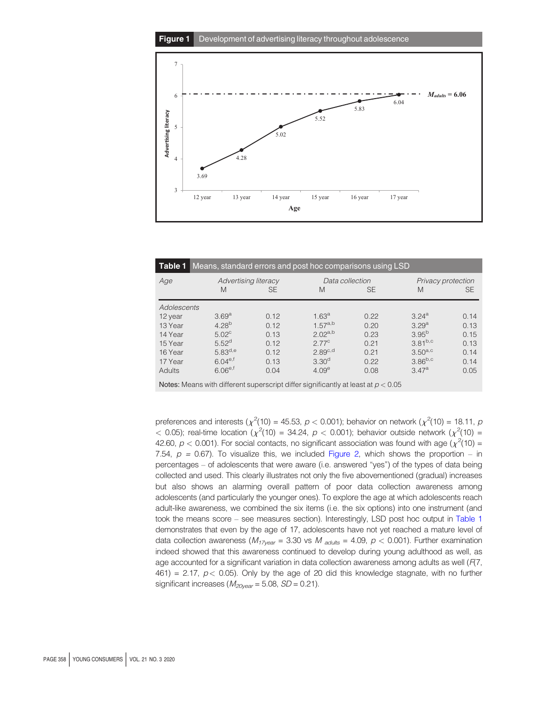#### <span id="page-8-0"></span>**Figure 1** Development of advertising literacy throughout adolescence



<span id="page-8-1"></span>

| Means, standard errors and post hoc comparisons using LSD<br>Table 1 |                             |           |                                                                                                                                                                                                                                                        |           |                    |           |  |  |
|----------------------------------------------------------------------|-----------------------------|-----------|--------------------------------------------------------------------------------------------------------------------------------------------------------------------------------------------------------------------------------------------------------|-----------|--------------------|-----------|--|--|
| Age                                                                  | <b>Advertising literacy</b> |           | Data collection                                                                                                                                                                                                                                        |           | Privacy protection |           |  |  |
|                                                                      | M                           | <b>SE</b> | M                                                                                                                                                                                                                                                      | <b>SE</b> | M                  | <b>SE</b> |  |  |
| Adolescents                                                          |                             |           |                                                                                                                                                                                                                                                        |           |                    |           |  |  |
| 12 year                                                              | 3.69 <sup>a</sup>           | 0.12      | 1.63 <sup>a</sup>                                                                                                                                                                                                                                      | 0.22      | $3.24^{a}$         | 0.14      |  |  |
| 13 Year                                                              | $4.28^{b}$                  | 0.12      | $1.57^{a,b}$                                                                                                                                                                                                                                           | 0.20      | 3.29 <sup>a</sup>  | 0.13      |  |  |
| 14 Year                                                              | 5.02 <sup>c</sup>           | 0.13      | $2.02^{a,b}$                                                                                                                                                                                                                                           | 0.23      | $3.95^{b}$         | 0.15      |  |  |
| 15 Year                                                              | $5.52^d$                    | 0.12      | 277c                                                                                                                                                                                                                                                   | 0.21      | $3.81^{b,c}$       | 0.13      |  |  |
| 16 Year                                                              | $5.83^{d,e}$                | 0.12      | $2.89^{c,d}$                                                                                                                                                                                                                                           | 0.21      | $3.50^{a,c}$       | 0.14      |  |  |
| 17 Year                                                              | $6.04^{e,f}$                | 0.13      | 3.30 <sup>d</sup>                                                                                                                                                                                                                                      | 0.22      | $3.86^{b,c}$       | 0.14      |  |  |
| Adults<br>$\cdots$ $\cdots$                                          | $6.06^{e,f}$                | 0.04      | 4.09 <sup>e</sup><br>$\mathcal{L}$ and the contract of the contract of the contract of the contract of the contract of the contract of the contract of the contract of the contract of the contract of the contract of the contract of the contract of | 0.08      | 3.47a              | 0.05      |  |  |

Notes: Means with different superscript differ significantly at least at  $p < 0.05$ 

preferences and interests ( $\chi^2(10)$  = 45.53,  $p < 0.001$ ); behavior on network ( $\chi^2(10)$  = 18.11,  $p$ < 0.05); real-time location ( $\chi^2(10)$  = 34.24,  $p$  < 0.001); behavior outside network ( $\chi^2(10)$  = 42.60,  $p < 0.001$ ). For social contacts, no significant association was found with age ( $\chi^2(10)$  = 7.54,  $p = 0.67$ ). To visualize this, we included [Figure 2,](#page-9-0) which shows the proportion – in percentages – of adolescents that were aware (i.e. answered "yes") of the types of data being collected and used. This clearly illustrates not only the five abovementioned (gradual) increases but also shows an alarming overall pattern of poor data collection awareness among adolescents (and particularly the younger ones). To explore the age at which adolescents reach adult-like awareness, we combined the six items (i.e. the six options) into one instrument (and took the means score – see measures section). Interestingly, LSD post hoc output in [Table 1](#page-8-1) demonstrates that even by the age of 17, adolescents have not yet reached a mature level of data collection awareness ( $M_{17 \text{year}}$  = 3.30 vs  $M_{adults}$  = 4.09,  $p$  < 0.001). Further examination indeed showed that this awareness continued to develop during young adulthood as well, as age accounted for a significant variation in data collection awareness among adults as well (F(7,  $461$ ) = 2.17,  $p$  < 0.05). Only by the age of 20 did this knowledge stagnate, with no further significant increases ( $M_{20\text{year}} = 5.08$ ,  $SD = 0.21$ ).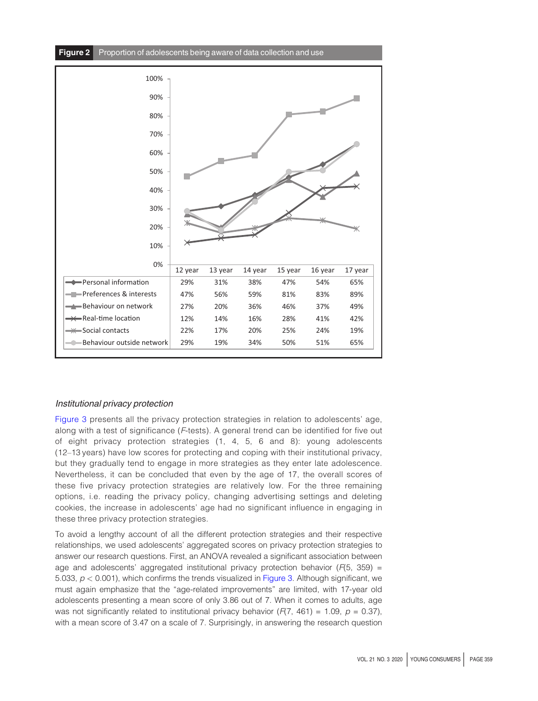<span id="page-9-0"></span>



#### Institutional privacy protection

[Figure 3](#page-10-0) presents all the privacy protection strategies in relation to adolescents' age, along with a test of significance ( $F$ -tests). A general trend can be identified for five out of eight privacy protection strategies (1, 4, 5, 6 and 8): young adolescents (12–13 years) have low scores for protecting and coping with their institutional privacy, but they gradually tend to engage in more strategies as they enter late adolescence. Nevertheless, it can be concluded that even by the age of 17, the overall scores of these five privacy protection strategies are relatively low. For the three remaining options, i.e. reading the privacy policy, changing advertising settings and deleting cookies, the increase in adolescents' age had no significant influence in engaging in these three privacy protection strategies.

To avoid a lengthy account of all the different protection strategies and their respective relationships, we used adolescents' aggregated scores on privacy protection strategies to answer our research questions. First, an ANOVA revealed a significant association between age and adolescents' aggregated institutional privacy protection behavior  $(F(5, 359) =$ 5.033,  $p < 0.001$ ), which confirms the trends visualized in [Figure 3](#page-10-0). Although significant, we must again emphasize that the "age-related improvements" are limited, with 17-year old adolescents presenting a mean score of only 3.86 out of 7. When it comes to adults, age was not significantly related to institutional privacy behavior ( $F(7, 461) = 1.09$ ,  $p = 0.37$ ), with a mean score of 3.47 on a scale of 7. Surprisingly, in answering the research question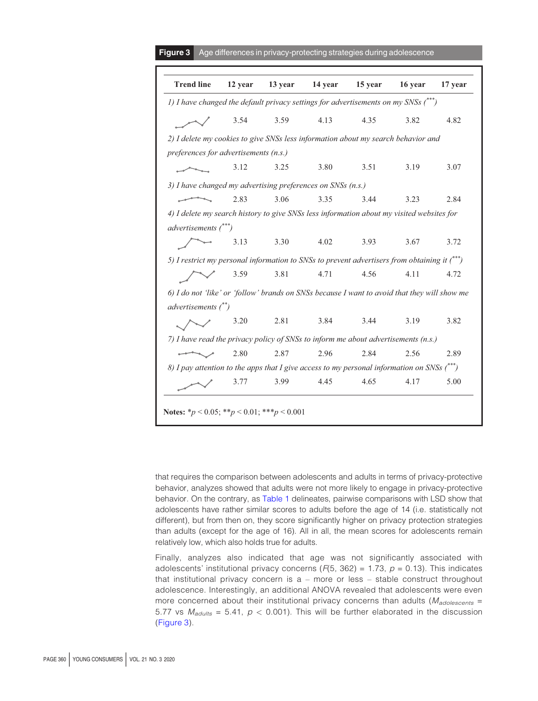<span id="page-10-0"></span>

| <b>Trend line</b>                                                                                                    | 12 year | 13 year | 14 year | 15 year | 16 year | 17 year |
|----------------------------------------------------------------------------------------------------------------------|---------|---------|---------|---------|---------|---------|
| 1) I have changed the default privacy settings for advertisements on my SNSs $(***)$                                 |         |         |         |         |         |         |
|                                                                                                                      | 3.54    | 3.59    | 4.13    | 4.35    | 3.82    | 4.82    |
| 2) I delete my cookies to give SNSs less information about my search behavior and                                    |         |         |         |         |         |         |
| preferences for advertisements (n.s.)                                                                                |         |         |         |         |         |         |
|                                                                                                                      | 3.12    | 3.25    | 3.80    | 3.51    | 3.19    | 3.07    |
| 3) I have changed my advertising preferences on SNSs (n.s.)                                                          |         |         |         |         |         |         |
|                                                                                                                      | 2.83    | 3.06    | 3.35    | 3.44    | 3.23    | 2.84    |
| 4) I delete my search history to give SNSs less information about my visited websites for<br>advertisements $($ ***) |         |         |         |         |         |         |
|                                                                                                                      | 3.13    | 3.30    | 4.02    | 3.93    | 3.67    | 3.72    |
| 5) I restrict my personal information to SNSs to prevent advertisers from obtaining it $(*)$                         |         |         |         |         |         |         |
|                                                                                                                      | 3.59    | 3.81    | 4.71    | 4.56    | 4.11    | 4.72    |
| 6) I do not 'like' or 'follow' brands on SNSs because I want to avoid that they will show me                         |         |         |         |         |         |         |
| advertisements $(*)$                                                                                                 |         |         |         |         |         |         |
|                                                                                                                      | 3.20    | 2.81    | 3.84    | 3.44    | 3.19    | 3.82    |
| 7) I have read the privacy policy of SNSs to inform me about advertisements (n.s.)                                   |         |         |         |         |         |         |
|                                                                                                                      | 2.80    | 2.87    | 2.96    | 2.84    | 2.56    | 2.89    |
| 8) I pay attention to the apps that I give access to my personal information on SNSs $(***)$                         |         |         |         |         |         |         |
|                                                                                                                      | 3.77    | 3.99    | 4.45    | 4.65    | 4.17    | 5.00    |

that requires the comparison between adolescents and adults in terms of privacy-protective behavior, analyzes showed that adults were not more likely to engage in privacy-protective behavior. On the contrary, as [Table 1](#page-8-1) delineates, pairwise comparisons with LSD show that adolescents have rather similar scores to adults before the age of 14 (i.e. statistically not different), but from then on, they score significantly higher on privacy protection strategies than adults (except for the age of 16). All in all, the mean scores for adolescents remain relatively low, which also holds true for adults.

Finally, analyzes also indicated that age was not significantly associated with adolescents' institutional privacy concerns ( $F(5, 362) = 1.73$ ,  $p = 0.13$ ). This indicates that institutional privacy concern is a – more or less – stable construct throughout adolescence. Interestingly, an additional ANOVA revealed that adolescents were even more concerned about their institutional privacy concerns than adults ( $M_{adolescents}$  = 5.77 vs  $M_{adults} = 5.41$ ,  $p < 0.001$ ). This will be further elaborated in the discussion [\(Figure 3](#page-10-0)).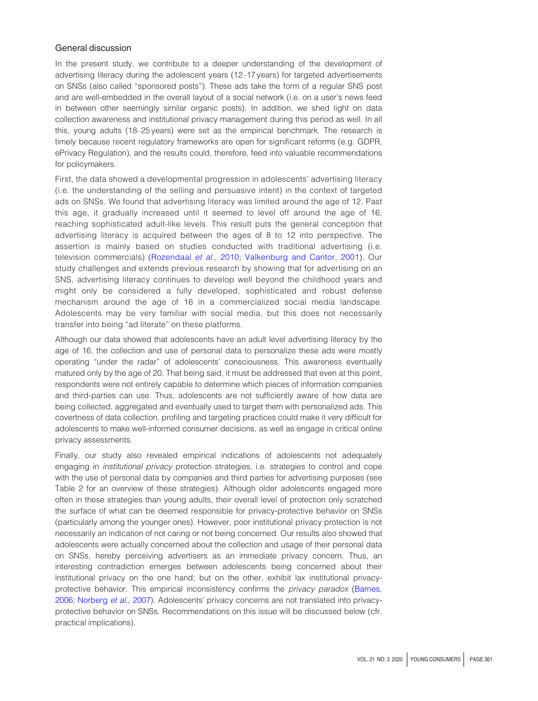#### General discussion

In the present study, we contribute to a deeper understanding of the development of advertising literacy during the adolescent years (12–17 years) for targeted advertisements on SNSs (also called "sponsored posts"). These ads take the form of a regular SNS post and are well-embedded in the overall layout of a social network (i.e. on a user's news feed in between other seemingly similar organic posts). In addition, we shed light on data collection awareness and institutional privacy management during this period as well. In all this, young adults (18–25 years) were set as the empirical benchmark. The research is timely because recent regulatory frameworks are open for significant reforms (e.g. GDPR, ePrivacy Regulation), and the results could, therefore, feed into valuable recommendations for policymakers.

First, the data showed a developmental progression in adolescents' advertising literacy (i.e. the understanding of the selling and persuasive intent) in the context of targeted ads on SNSs. We found that advertising literacy was limited around the age of 12. Past this age, it gradually increased until it seemed to level off around the age of 16, reaching sophisticated adult-like levels. This result puts the general conception that advertising literacy is acquired between the ages of 8 to 12 into perspective. The assertion is mainly based on studies conducted with traditional advertising (i.e. television commercials) [\(Rozendaal](#page-16-6) et al., 2010; [Valkenburg and Cantor, 2001\)](#page-17-4). Our study challenges and extends previous research by showing that for advertising on an SNS, advertising literacy continues to develop well beyond the childhood years and might only be considered a fully developed, sophisticated and robust defense mechanism around the age of 16 in a commercialized social media landscape. Adolescents may be very familiar with social media, but this does not necessarily transfer into being "ad literate" on these platforms.

Although our data showed that adolescents have an adult level advertising literacy by the age of 16, the collection and use of personal data to personalize these ads were mostly operating "under the radar" of adolescents' consciousness. This awareness eventually matured only by the age of 20. That being said, it must be addressed that even at this point, respondents were not entirely capable to determine which pieces of information companies and third-parties can use. Thus, adolescents are not sufficiently aware of how data are being collected, aggregated and eventually used to target them with personalized ads. This covertness of data collection, profiling and targeting practices could make it very difficult for adolescents to make well-informed consumer decisions, as well as engage in critical online privacy assessments.

Finally, our study also revealed empirical indications of adolescents not adequately engaging in institutional privacy protection strategies, i.e. strategies to control and cope with the use of personal data by companies and third parties for advertising purposes (see Table 2 for an overview of these strategies). Although older adolescents engaged more often in these strategies than young adults, their overall level of protection only scratched the surface of what can be deemed responsible for privacy-protective behavior on SNSs (particularly among the younger ones). However, poor institutional privacy protection is not necessarily an indication of not caring or not being concerned. Our results also showed that adolescents were actually concerned about the collection and usage of their personal data on SNSs, hereby perceiving advertisers as an immediate privacy concern. Thus, an interesting contradiction emerges between adolescents being concerned about their institutional privacy on the one hand; but on the other, exhibit lax institutional privacyprotective behavior. This empirical inconsistency confirms the privacy paradox [\(Barnes,](#page-15-6) [2006;](#page-15-6) [Norberg](#page-16-16) et al., 2007). Adolescents' privacy concerns are not translated into privacyprotective behavior on SNSs. Recommendations on this issue will be discussed below (cfr. practical implications).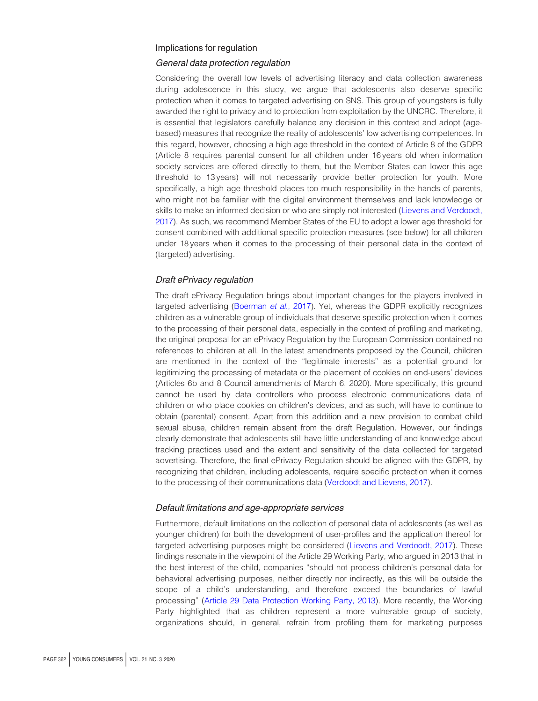#### Implications for regulation

#### General data protection regulation

Considering the overall low levels of advertising literacy and data collection awareness during adolescence in this study, we argue that adolescents also deserve specific protection when it comes to targeted advertising on SNS. This group of youngsters is fully awarded the right to privacy and to protection from exploitation by the UNCRC. Therefore, it is essential that legislators carefully balance any decision in this context and adopt (agebased) measures that recognize the reality of adolescents' low advertising competences. In this regard, however, choosing a high age threshold in the context of Article 8 of the GDPR (Article 8 requires parental consent for all children under 16 years old when information society services are offered directly to them, but the Member States can lower this age threshold to 13 years) will not necessarily provide better protection for youth. More specifically, a high age threshold places too much responsibility in the hands of parents, who might not be familiar with the digital environment themselves and lack knowledge or skills to make an informed decision or who are simply not interested [\(Lievens and Verdoodt,](#page-16-2) [2017\)](#page-16-2). As such, we recommend Member States of the EU to adopt a lower age threshold for consent combined with additional specific protection measures (see below) for all children under 18 years when it comes to the processing of their personal data in the context of (targeted) advertising.

#### Draft ePrivacy regulation

The draft ePrivacy Regulation brings about important changes for the players involved in targeted advertising [\(Boerman](#page-15-3) et al., 2017). Yet, whereas the GDPR explicitly recognizes children as a vulnerable group of individuals that deserve specific protection when it comes to the processing of their personal data, especially in the context of profiling and marketing, the original proposal for an ePrivacy Regulation by the European Commission contained no references to children at all. In the latest amendments proposed by the Council, children are mentioned in the context of the "legitimate interests" as a potential ground for legitimizing the processing of metadata or the placement of cookies on end-users' devices (Articles 6b and 8 Council amendments of March 6, 2020). More specifically, this ground cannot be used by data controllers who process electronic communications data of children or who place cookies on children's devices, and as such, will have to continue to obtain (parental) consent. Apart from this addition and a new provision to combat child sexual abuse, children remain absent from the draft Regulation. However, our findings clearly demonstrate that adolescents still have little understanding of and knowledge about tracking practices used and the extent and sensitivity of the data collected for targeted advertising. Therefore, the final ePrivacy Regulation should be aligned with the GDPR, by recognizing that children, including adolescents, require specific protection when it comes to the processing of their communications data [\(Verdoodt and Lievens, 2017](#page-17-2)).

#### Default limitations and age-appropriate services

Furthermore, default limitations on the collection of personal data of adolescents (as well as younger children) for both the development of user-profiles and the application thereof for targeted advertising purposes might be considered ([Lievens and Verdoodt, 2017](#page-16-2)). These findings resonate in the viewpoint of the Article 29 Working Party, who argued in 2013 that in the best interest of the child, companies "should not process children's personal data for behavioral advertising purposes, neither directly nor indirectly, as this will be outside the scope of a child's understanding, and therefore exceed the boundaries of lawful processing" [\(Article 29 Data Protection Working Party, 2013\)](#page-15-10). More recently, the Working Party highlighted that as children represent a more vulnerable group of society, organizations should, in general, refrain from profiling them for marketing purposes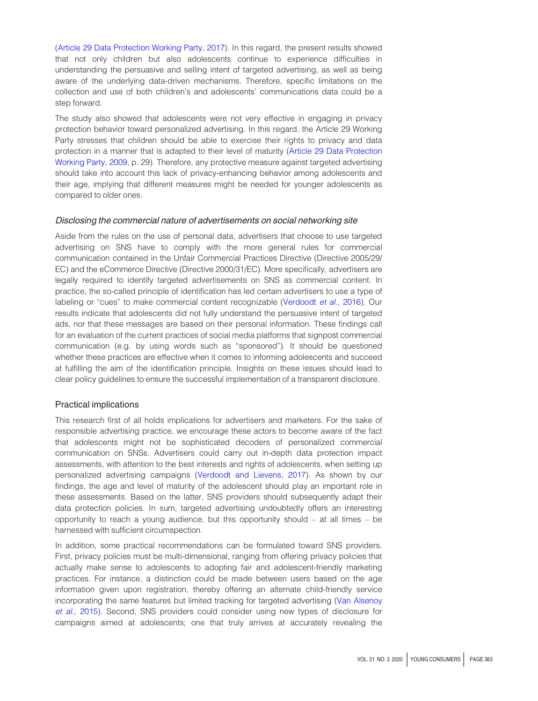([Article 29 Data Protection Working Party, 2017\)](#page-15-11). In this regard, the present results showed that not only children but also adolescents continue to experience difficulties in understanding the persuasive and selling intent of targeted advertising, as well as being aware of the underlying data-driven mechanisms. Therefore, specific limitations on the collection and use of both children's and adolescents' communications data could be a step forward.

The study also showed that adolescents were not very effective in engaging in privacy protection behavior toward personalized advertising. In this regard, the Article 29 Working Party stresses that children should be able to exercise their rights to privacy and data protection in a manner that is adapted to their level of maturity [\(Article 29 Data Protection](#page-15-12) [Working Party, 2009,](#page-15-12) p. 29). Therefore, any protective measure against targeted advertising should take into account this lack of privacy-enhancing behavior among adolescents and their age, implying that different measures might be needed for younger adolescents as compared to older ones.

#### Disclosing the commercial nature of advertisements on social networking site

Aside from the rules on the use of personal data, advertisers that choose to use targeted advertising on SNS have to comply with the more general rules for commercial communication contained in the Unfair Commercial Practices Directive (Directive 2005/29/ EC) and the eCommerce Directive (Directive 2000/31/EC). More specifically, advertisers are legally required to identify targeted advertisements on SNS as commercial content. In practice, the so-called principle of identification has led certain advertisers to use a type of labeling or "cues" to make commercial content recognizable [\(Verdoodt](#page-17-9) et al., 2016). Our results indicate that adolescents did not fully understand the persuasive intent of targeted ads, nor that these messages are based on their personal information. These findings call for an evaluation of the current practices of social media platforms that signpost commercial communication (e.g. by using words such as "sponsored"). It should be questioned whether these practices are effective when it comes to informing adolescents and succeed at fulfilling the aim of the identification principle. Insights on these issues should lead to clear policy guidelines to ensure the successful implementation of a transparent disclosure.

#### Practical implications

This research first of all holds implications for advertisers and marketers. For the sake of responsible advertising practice, we encourage these actors to become aware of the fact that adolescents might not be sophisticated decoders of personalized commercial communication on SNSs. Advertisers could carry out in-depth data protection impact assessments, with attention to the best interests and rights of adolescents, when setting up personalized advertising campaigns ([Verdoodt and Lievens, 2017](#page-17-2)). As shown by our findings, the age and level of maturity of the adolescent should play an important role in these assessments. Based on the latter, SNS providers should subsequently adapt their data protection policies. In sum, targeted advertising undoubtedly offers an interesting opportunity to reach a young audience, but this opportunity should  $-$  at all times  $-$  be harnessed with sufficient circumspection.

In addition, some practical recommendations can be formulated toward SNS providers. First, privacy policies must be multi-dimensional, ranging from offering privacy policies that actually make sense to adolescents to adopting fair and adolescent-friendly marketing practices. For instance, a distinction could be made between users based on the age information given upon registration, thereby offering an alternate child-friendly service incorporating the same features but limited tracking for targeted advertising [\(Van Alsenoy](#page-17-10) et al.[, 2015](#page-17-10)). Second, SNS providers could consider using new types of disclosure for campaigns aimed at adolescents; one that truly arrives at accurately revealing the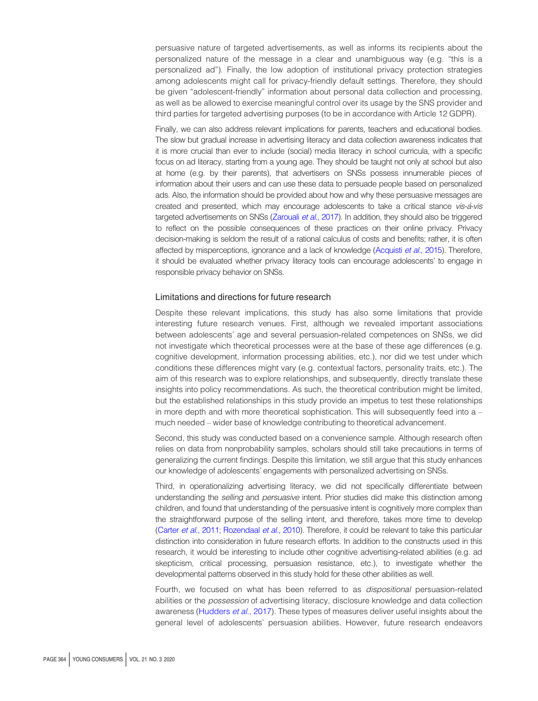persuasive nature of targeted advertisements, as well as informs its recipients about the personalized nature of the message in a clear and unambiguous way (e.g. "this is a personalized ad"). Finally, the low adoption of institutional privacy protection strategies among adolescents might call for privacy-friendly default settings. Therefore, they should be given "adolescent-friendly" information about personal data collection and processing, as well as be allowed to exercise meaningful control over its usage by the SNS provider and third parties for targeted advertising purposes (to be in accordance with Article 12 GDPR).

Finally, we can also address relevant implications for parents, teachers and educational bodies. The slow but gradual increase in advertising literacy and data collection awareness indicates that it is more crucial than ever to include (social) media literacy in school curricula, with a specific focus on ad literacy, starting from a young age. They should be taught not only at school but also at home (e.g. by their parents), that advertisers on SNSs possess innumerable pieces of information about their users and can use these data to persuade people based on personalized ads. Also, the information should be provided about how and why these persuasive messages are created and presented, which may encourage adolescents to take a critical stance vis-a`-vis targeted advertisements on SNSs [\(Zarouali](#page-17-0) et al., 2017). In addition, they should also be triggered to reflect on the possible consequences of these practices on their online privacy. Privacy decision-making is seldom the result of a rational calculus of costs and benefits; rather, it is often affected by misperceptions, ignorance and a lack of knowledge ([Acquisti](#page-15-13) *et al.*, 2015). Therefore, it should be evaluated whether privacy literacy tools can encourage adolescents' to engage in responsible privacy behavior on SNSs.

#### Limitations and directions for future research

Despite these relevant implications, this study has also some limitations that provide interesting future research venues. First, although we revealed important associations between adolescents' age and several persuasion-related competences on SNSs, we did not investigate which theoretical processes were at the base of these age differences (e.g. cognitive development, information processing abilities, etc.), nor did we test under which conditions these differences might vary (e.g. contextual factors, personality traits, etc.). The aim of this research was to explore relationships, and subsequently, directly translate these insights into policy recommendations. As such, the theoretical contribution might be limited, but the established relationships in this study provide an impetus to test these relationships in more depth and with more theoretical sophistication. This will subsequently feed into a – much needed – wider base of knowledge contributing to theoretical advancement.

Second, this study was conducted based on a convenience sample. Although research often relies on data from nonprobability samples, scholars should still take precautions in terms of generalizing the current findings. Despite this limitation, we still argue that this study enhances our knowledge of adolescents' engagements with personalized advertising on SNSs.

Third, in operationalizing advertising literacy, we did not specifically differentiate between understanding the *selling* and *persuasive* intent. Prior studies did make this distinction among children, and found that understanding of the persuasive intent is cognitively more complex than the straightforward purpose of the selling intent, and therefore, takes more time to develop [\(Carter](#page-15-1) et al., 2011; [Rozendaal](#page-16-6) et al., 2010). Therefore, it could be relevant to take this particular distinction into consideration in future research efforts. In addition to the constructs used in this research, it would be interesting to include other cognitive advertising-related abilities (e.g. ad skepticism, critical processing, persuasion resistance, etc.), to investigate whether the developmental patterns observed in this study hold for these other abilities as well.

Fourth, we focused on what has been referred to as *dispositional* persuasion-related abilities or the possession of advertising literacy, disclosure knowledge and data collection awareness [\(Hudders](#page-16-3) et al., 2017). These types of measures deliver useful insights about the general level of adolescents' persuasion abilities. However, future research endeavors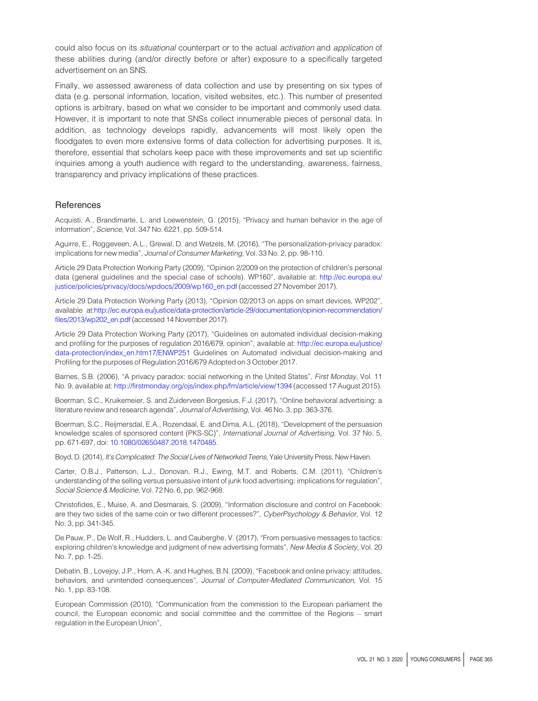could also focus on its *situational* counterpart or to the actual *activation* and *application* of these abilities during (and/or directly before or after) exposure to a specifically targeted advertisement on an SNS.

Finally, we assessed awareness of data collection and use by presenting on six types of data (e.g. personal information, location, visited websites, etc.). This number of presented options is arbitrary, based on what we consider to be important and commonly used data. However, it is important to note that SNSs collect innumerable pieces of personal data. In addition, as technology develops rapidly, advancements will most likely open the floodgates to even more extensive forms of data collection for advertising purposes. It is, therefore, essential that scholars keep pace with these improvements and set up scientific inquiries among a youth audience with regard to the understanding, awareness, fairness, transparency and privacy implications of these practices.

#### **References**

<span id="page-15-13"></span>Acquisti, A., Brandimarte, L. and Loewenstein, G. (2015), "Privacy and human behavior in the age of information", Science, Vol. 347 No. 6221, pp. 509-514.

<span id="page-15-2"></span>Aguirre, E., Roggeveen, A.L., Grewal, D. and Wetzels, M. (2016), "The personalization-privacy paradox: implications for new media", Journal of Consumer Marketing, Vol. 33 No. 2, pp. 98-110.

<span id="page-15-12"></span>Article 29 Data Protection Working Party (2009), "Opinion 2/2009 on the protection of children's personal data (general guidelines and the special case of schools). WP160", available at: [http://ec.europa.eu/](http://ec.europa.eu/justice/policies/privacy/docs/wpdocs/2009/wp160_en.pdf) [justice/policies/privacy/docs/wpdocs/2009/wp160\\_en.pdf](http://ec.europa.eu/justice/policies/privacy/docs/wpdocs/2009/wp160_en.pdf) (accessed 27 November 2017).

<span id="page-15-10"></span>Article 29 Data Protection Working Party (2013), "Opinion 02/2013 on apps on smart devices, WP202", available at[:http://ec.europa.eu/justice/data-protection/article-29/documentation/opinion-recommendation/]( http://ec.europa.eu/justice/data-protection/article-29/documentation/opinion-recommendation/files/2013/wp202_en.pdf) [files/2013/wp202\\_en.pdf]( http://ec.europa.eu/justice/data-protection/article-29/documentation/opinion-recommendation/files/2013/wp202_en.pdf) (accessed 14 November 2017).

<span id="page-15-11"></span>Article 29 Data Protection Working Party (2017), "Guidelines on automated individual decision-making and profiling for the purposes of regulation 2016/679, opinion", available at: [http://ec.europa.eu/justice/](http://ec.europa.eu/justice/data-protection/index_en.htm 17/EN WP 251 ) [data-protection/index\\_en.htm17/ENWP251](http://ec.europa.eu/justice/data-protection/index_en.htm 17/EN WP 251 ) Guidelines on Automated individual decision-making and Profiling for the purposes of Regulation 2016/679 Adopted on 3 October 2017.

<span id="page-15-6"></span>Barnes, S.B. (2006), "A privacy paradox: social networking in the United States", First Monday, Vol. 11 No. 9, available at: <http://firstmonday.org/ojs/index.php/fm/article/view/1394> (accessed 17 August 2015).

<span id="page-15-3"></span>Boerman, S.C., Kruikemeier, S. and Zuiderveen Borgesius, F.J. (2017), "Online behavioral advertising: a literature review and research agenda", Journal of Advertising, Vol. 46 No. 3, pp. 363-376.

<span id="page-15-9"></span>Boerman, S.C., Reijmersdal, E.A., Rozendaal, E. and Dima, A.L. (2018), "Development of the persuasion knowledge scales of sponsored content (PKS-SC)", International Journal of Advertising, Vol. 37 No. 5, pp. 671-697, doi: [10.1080/02650487.2018.1470485](http://dx.doi.org/10.1080/02650487.2018.1470485).

<span id="page-15-8"></span>Boyd, D. (2014), It's Complicated: The Social Lives of Networked Teens, Yale University Press, New Haven.

<span id="page-15-1"></span>Carter, O.B.J., Patterson, L.J., Donovan, R.J., Ewing, M.T. and Roberts, C.M. (2011), "Children's understanding of the selling versus persuasive intent of junk food advertising: implications for regulation", Social Science & Medicine, Vol. 72 No. 6, pp. 962-968.

<span id="page-15-7"></span>Christofides, E., Muise, A. and Desmarais, S. (2009), "Information disclosure and control on Facebook: are they two sides of the same coin or two different processes?", CyberPsychology & Behavior, Vol. 12 No. 3, pp. 341-345.

<span id="page-15-4"></span>De Pauw, P., De Wolf, R., Hudders, L. and Cauberghe, V. (2017), "From persuasive messages to tactics: exploring children's knowledge and judgment of new advertising formats", New Media & Society, Vol. 20 No. 7, pp. 1-25.

<span id="page-15-5"></span>Debatin, B., Lovejoy, J.P., Horn, A.-K. and Hughes, B.N. (2009), "Facebook and online privacy: attitudes, behaviors, and unintended consequences", Journal of Computer-Mediated Communication, Vol. 15 No. 1, pp. 83-108.

<span id="page-15-0"></span>European Commission (2010), "Communication from the commission to the European parliament the council, the European economic and social committee and the committee of the Regions – smart regulation in the European Union",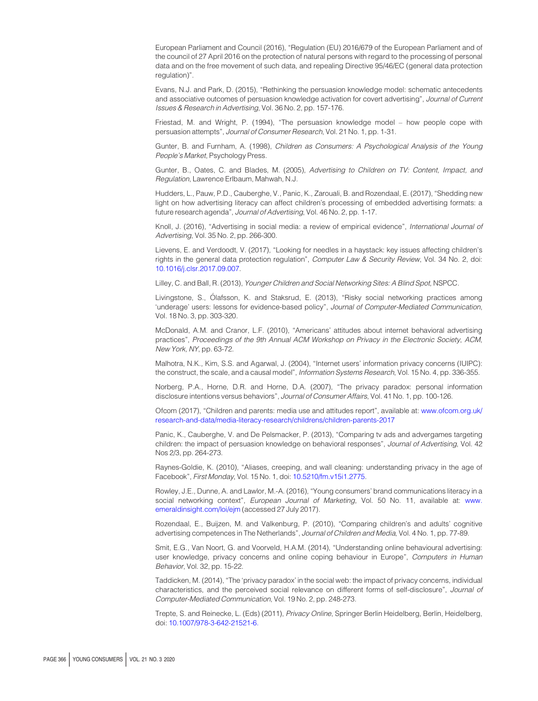<span id="page-16-1"></span>European Parliament and Council (2016), "Regulation (EU) 2016/679 of the European Parliament and of the council of 27 April 2016 on the protection of natural persons with regard to the processing of personal data and on the free movement of such data, and repealing Directive 95/46/EC (general data protection regulation)".

<span id="page-16-9"></span>Evans, N.J. and Park, D. (2015), "Rethinking the persuasion knowledge model: schematic antecedents and associative outcomes of persuasion knowledge activation for covert advertising", Journal of Current Issues & Research in Advertising, Vol. 36 No. 2, pp. 157-176.

<span id="page-16-7"></span>Friestad, M. and Wright, P. (1994), "The persuasion knowledge model – how people cope with persuasion attempts", Journal of Consumer Research, Vol. 21 No. 1, pp. 1-31.

<span id="page-16-5"></span>Gunter, B. and Furnham, A. (1998), Children as Consumers: A Psychological Analysis of the Young People's Market, Psychology Press.

<span id="page-16-4"></span>Gunter, B., Oates, C. and Blades, M. (2005), Advertising to Children on TV: Content, Impact, and Regulation, Lawrence Erlbaum, Mahwah, N.J.

<span id="page-16-3"></span>Hudders, L., Pauw, P.D., Cauberghe, V., Panic, K., Zarouali, B. and Rozendaal, E. (2017), "Shedding new light on how advertising literacy can affect children's processing of embedded advertising formats: a future research agenda", Journal of Advertising, Vol. 46 No. 2, pp. 1-17.

<span id="page-16-12"></span>Knoll, J. (2016), "Advertising in social media: a review of empirical evidence", International Journal of Advertising, Vol. 35 No. 2, pp. 266-300.

<span id="page-16-2"></span>Lievens, E. and Verdoodt, V. (2017), "Looking for needles in a haystack: key issues affecting children's rights in the general data protection regulation", Computer Law & Security Review, Vol. 34 No. 2, doi: [10.1016/j.clsr.2017.09.007.](http://dx.doi.org/10.1016/j.clsr.2017.09.007)

<span id="page-16-19"></span>Lilley, C. and Ball, R. (2013), Younger Children and Social Networking Sites: A Blind Spot, NSPCC.

<span id="page-16-10"></span>Livingstone, S., Ólafsson, K. and Staksrud, E. (2013), "Risky social networking practices among 'underage' users: lessons for evidence-based policy", Journal of Computer-Mediated Communication, Vol. 18 No. 3, pp. 303-320.

<span id="page-16-13"></span>McDonald, A.M. and Cranor, L.F. (2010), "Americans' attitudes about internet behavioral advertising practices", Proceedings of the 9th Annual ACM Workshop on Privacy in the Electronic Society, ACM, New York, NY, pp. 63-72.

<span id="page-16-20"></span>Malhotra, N.K., Kim, S.S. and Agarwal, J. (2004), "Internet users' information privacy concerns (IUIPC): the construct, the scale, and a causal model", Information Systems Research, Vol. 15 No. 4, pp. 336-355.

<span id="page-16-16"></span>Norberg, P.A., Horne, D.R. and Horne, D.A. (2007), "The privacy paradox: personal information disclosure intentions versus behaviors", Journal of Consumer Affairs, Vol. 41 No. 1, pp. 100-126.

<span id="page-16-11"></span>Ofcom (2017), "Children and parents: media use and attitudes report", available at: [www.ofcom.org.uk/](http://www.ofcom.org.uk/research-and-data/media-literacy-research/childrens/children-parents-2017) [research-and-data/media-literacy-research/childrens/children-parents-2017](http://www.ofcom.org.uk/research-and-data/media-literacy-research/childrens/children-parents-2017)

<span id="page-16-8"></span>Panic, K., Cauberghe, V. and De Pelsmacker, P. (2013), "Comparing tv ads and advergames targeting children: the impact of persuasion knowledge on behavioral responses", Journal of Advertising, Vol. 42 Nos 2/3, pp. 264-273.

<span id="page-16-18"></span>Raynes-Goldie, K. (2010), "Aliases, creeping, and wall cleaning: understanding privacy in the age of Facebook", First Monday, Vol. 15 No. 1, doi: [10.5210/fm.v15i1.2775.](http://dx.doi.org/10.5210/fm.v15i1.2775)

<span id="page-16-0"></span>Rowley, J.E., Dunne, A. and Lawlor, M.-A. (2016), "Young consumers' brand communications literacy in a social networking context", European Journal of Marketing, Vol. 50 No. 11, available at: [www.](http://www.emeraldinsight.com/loi/ejm) [emeraldinsight.com/loi/ejm](http://www.emeraldinsight.com/loi/ejm) (accessed 27 July 2017).

<span id="page-16-6"></span>Rozendaal, E., Buijzen, M. and Valkenburg, P. (2010), "Comparing children's and adults' cognitive advertising competences in The Netherlands", Journal of Children and Media, Vol. 4 No. 1, pp. 77-89.

<span id="page-16-14"></span>Smit, E.G., Van Noort, G. and Voorveld, H.A.M. (2014), "Understanding online behavioural advertising: user knowledge, privacy concerns and online coping behaviour in Europe", Computers in Human Behavior, Vol. 32, pp. 15-22.

<span id="page-16-17"></span>Taddicken, M. (2014), "The 'privacy paradox' in the social web: the impact of privacy concerns, individual characteristics, and the perceived social relevance on different forms of self-disclosure", Journal of Computer-Mediated Communication, Vol. 19 No. 2, pp. 248-273.

<span id="page-16-15"></span>Trepte, S. and Reinecke, L. (Eds) (2011), Privacy Online, Springer Berlin Heidelberg, Berlin, Heidelberg, doi: [10.1007/978-3-642-21521-6.](http://dx.doi.org/10.1007/978-3-642-21521-6.)